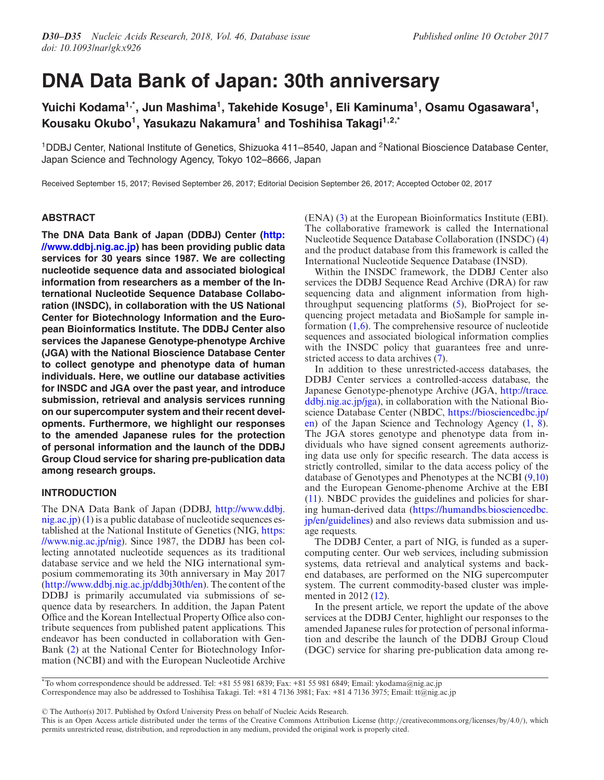# **DNA Data Bank of Japan: 30th anniversary**

**Yuichi Kodama1,\*, Jun Mashima1, Takehide Kosuge1, Eli Kaminuma1, Osamu Ogasawara1, Kousaku Okubo1, Yasukazu Nakamura1 and Toshihisa Takagi1,2,\***

<sup>1</sup>DDBJ Center, National Institute of Genetics, Shizuoka 411–8540, Japan and <sup>2</sup>National Bioscience Database Center, Japan Science and Technology Agency, Tokyo 102–8666, Japan

Received September 15, 2017; Revised September 26, 2017; Editorial Decision September 26, 2017; Accepted October 02, 2017

# **ABSTRACT**

**[The DNA Data Bank of Japan \(DDBJ\) Center \(http:](http://www.ddbj.nig.ac.jp) //www.ddbj.nig.ac.jp) has been providing public data services for 30 years since 1987. We are collecting nucleotide sequence data and associated biological information from researchers as a member of the International Nucleotide Sequence Database Collaboration (INSDC), in collaboration with the US National Center for Biotechnology Information and the European Bioinformatics Institute. The DDBJ Center also services the Japanese Genotype-phenotype Archive (JGA) with the National Bioscience Database Center to collect genotype and phenotype data of human individuals. Here, we outline our database activities for INSDC and JGA over the past year, and introduce submission, retrieval and analysis services running on our supercomputer system and their recent developments. Furthermore, we highlight our responses to the amended Japanese rules for the protection of personal information and the launch of the DDBJ Group Cloud service for sharing pre-publication data among research groups.**

# **INTRODUCTION**

The DNA Data Bank of Japan (DDBJ, http://www.ddbj. [nig.ac.jp\) \(1\) is a public database of nucleotide sequences es](http://www.ddbj.nig.ac.jp)tablished at the National Institute of Genetics (NIG, https: [//www.nig.ac.jp/nig\). Since 1987, the DDBJ has been col](https://www.nig.ac.jp/nig)lecting annotated nucleotide sequences as its traditional database service and we held the NIG international symposium commemorating its 30th anniversary in May 2017 [\(http://www.ddbj.nig.ac.jp/ddbj30th/en\)](http://www.ddbj.nig.ac.jp/ddbj30th/en). The content of the DDBJ is primarily accumulated via submissions of sequence data by researchers. In addition, the Japan Patent Office and the Korean Intellectual Property Office also contribute sequences from published patent applications. This endeavor has been conducted in collaboration with Gen-Bank [\(2\)](#page-4-0) at the National Center for Biotechnology Information (NCBI) and with the European Nucleotide Archive

(ENA) [\(3\)](#page-4-0) at the European Bioinformatics Institute (EBI). The collaborative framework is called the International Nucleotide Sequence Database Collaboration (INSDC) [\(4\)](#page-4-0) and the product database from this framework is called the International Nucleotide Sequence Database (INSD).

Within the INSDC framework, the DDBJ Center also services the DDBJ Sequence Read Archive (DRA) for raw sequencing data and alignment information from highthroughput sequencing platforms [\(5\)](#page-4-0), BioProject for sequencing project metadata and BioSample for sample information  $(1,6)$ . The comprehensive resource of nucleotide sequences and associated biological information complies with the INSDC policy that guarantees free and unrestricted access to data archives [\(7\)](#page-5-0).

In addition to these unrestricted-access databases, the DDBJ Center services a controlled-access database, the Japanese Genotype-phenotype Archive (JGA, http://trace. [ddbj.nig.ac.jp/jga\), in collaboration with the National Bio](http://trace.ddbj.nig.ac.jp/jga)science Database Center (NBDC, https://biosciencedbc.jp/ [en\) of the Japan Science and Technology Agency \(1,](https://biosciencedbc.jp/en) [8\)](#page-5-0). The JGA stores genotype and phenotype data from individuals who have signed consent agreements authorizing data use only for specific research. The data access is strictly controlled, similar to the data access policy of the database of Genotypes and Phenotypes at the NCBI [\(9,10\)](#page-5-0) and the European Genome-phenome Archive at the EBI [\(11\)](#page-5-0). NBDC provides the guidelines and policies for sharing human-derived data (https://humandbs.biosciencedbc. [jp/en/guidelines\) and also reviews data submission and us](https://humandbs.biosciencedbc.jp/en/guidelines)age requests.

The DDBJ Center, a part of NIG, is funded as a supercomputing center. Our web services, including submission systems, data retrieval and analytical systems and backend databases, are performed on the NIG supercomputer system. The current commodity-based cluster was implemented in 2012 [\(12\)](#page-5-0).

In the present article, we report the update of the above services at the DDBJ Center, highlight our responses to the amended Japanese rules for protection of personal information and describe the launch of the DDBJ Group Cloud (DGC) service for sharing pre-publication data among re-

\*To whom correspondence should be addressed. Tel: +81 55 981 6839; Fax: +81 55 981 6849; Email: ykodama@nig.ac.jp Correspondence may also be addressed to Toshihisa Takagi. Tel: +81 4 7136 3981; Fax: +81 4 7136 3975; Email: tt@nig.ac.jp

-<sup>C</sup> The Author(s) 2017. Published by Oxford University Press on behalf of Nucleic Acids Research.

This is an Open Access article distributed under the terms of the Creative Commons Attribution License (http://creativecommons.org/licenses/by/4.0/), which permits unrestricted reuse, distribution, and reproduction in any medium, provided the original work is properly cited.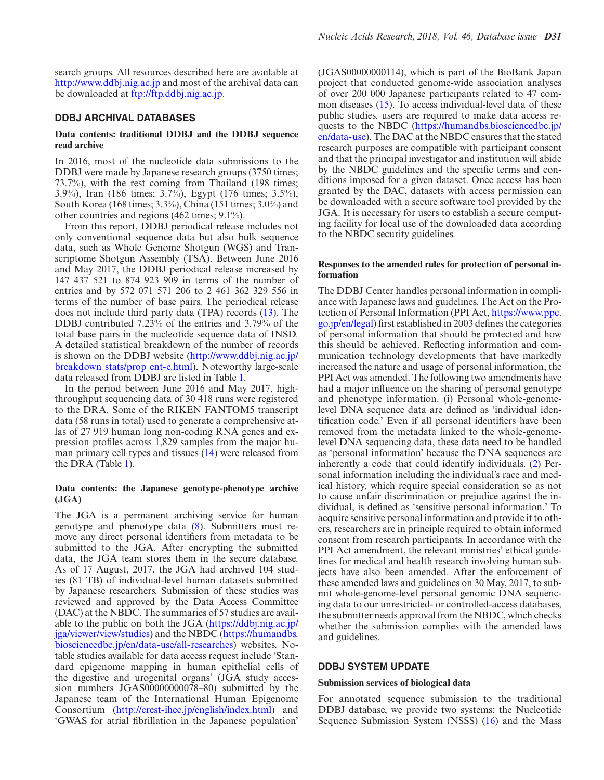search groups. All resources described here are available at <http://www.ddbj.nig.ac.jp> and most of the archival data can be downloaded at [ftp://ftp.ddbj.nig.ac.jp.](ftp://ftp.ddbj.nig.ac.jp)

## **DDBJ ARCHIVAL DATABASES**

## **Data contents: traditional DDBJ and the DDBJ sequence read archive**

In 2016, most of the nucleotide data submissions to the DDBJ were made by Japanese research groups (3750 times; 73.7%), with the rest coming from Thailand (198 times; 3.9%), Iran (186 times; 3.7%), Egypt (176 times; 3.5%), South Korea (168 times; 3.3%), China (151 times; 3.0%) and other countries and regions (462 times; 9.1%).

From this report, DDBJ periodical release includes not only conventional sequence data but also bulk sequence data, such as Whole Genome Shotgun (WGS) and Transcriptome Shotgun Assembly (TSA). Between June 2016 and May 2017, the DDBJ periodical release increased by 147 437 521 to 874 923 909 in terms of the number of entries and by 572 071 571 206 to 2 461 362 329 556 in terms of the number of base pairs. The periodical release does not include third party data (TPA) records [\(13\)](#page-5-0). The DDBJ contributed 7.23% of the entries and 3.79% of the total base pairs in the nucleotide sequence data of INSD. A detailed statistical breakdown of the number of records [is shown on the DDBJ website \(http://www.ddbj.nig.ac.jp/](http://www.ddbj.nig.ac.jp/breakdown_stats/prop_ent-e.html) breakdown stats/prop ent-e.html). Noteworthy large-scale data released from DDBJ are listed in Table [1.](#page-2-0)

In the period between June 2016 and May 2017, highthroughput sequencing data of 30 418 runs were registered to the DRA. Some of the RIKEN FANTOM5 transcript data (58 runs in total) used to generate a comprehensive atlas of 27 919 human long non-coding RNA genes and expression profiles across 1,829 samples from the major human primary cell types and tissues [\(14\)](#page-5-0) were released from the DRA (Table [1\)](#page-2-0).

## **Data contents: the Japanese genotype-phenotype archive (JGA)**

The JGA is a permanent archiving service for human genotype and phenotype data [\(8\)](#page-5-0). Submitters must remove any direct personal identifiers from metadata to be submitted to the JGA. After encrypting the submitted data, the JGA team stores them in the secure database. As of 17 August, 2017, the JGA had archived 104 studies (81 TB) of individual-level human datasets submitted by Japanese researchers. Submission of these studies was reviewed and approved by the Data Access Committee (DAC) at the NBDC. The summaries of 57 studies are avail[able to the public on both the JGA \(https://ddbj.nig.ac.jp/](https://ddbj.nig.ac.jp/jga/viewer/view/studies) jga/viewer/view/studies) and the NBDC (https://humandbs. [biosciencedbc.jp/en/data-use/all-researches\) websites. No](https://humandbs.biosciencedbc.jp/en/data-use/all-researches)table studies available for data access request include 'Standard epigenome mapping in human epithelial cells of the digestive and urogenital organs' (JGA study accession numbers JGAS00000000078–80) submitted by the Japanese team of the International Human Epigenome Consortium [\(http://crest-ihec.jp/english/index.html\)](http://crest-ihec.jp/english/index.html) and 'GWAS for atrial fibrillation in the Japanese population'

(JGAS00000000114), which is part of the BioBank Japan project that conducted genome-wide association analyses of over 200 000 Japanese participants related to 47 common diseases [\(15\)](#page-5-0). To access individual-level data of these public studies, users are required to make data access requests to the NBDC (https://humandbs.biosciencedbc.jp/ [en/data-use\). The DAC at the NBDC ensures that the stated](https://humandbs.biosciencedbc.jp/en/data-use) research purposes are compatible with participant consent and that the principal investigator and institution will abide by the NBDC guidelines and the specific terms and conditions imposed for a given dataset. Once access has been granted by the DAC, datasets with access permission can be downloaded with a secure software tool provided by the JGA. It is necessary for users to establish a secure computing facility for local use of the downloaded data according to the NBDC security guidelines.

## **Responses to the amended rules for protection of personal information**

The DDBJ Center handles personal information in compliance with Japanese laws and guidelines. The Act on the Protection of Personal Information (PPI Act, https://www.ppc. [go.jp/en/legal\) first established in 2003 defines the categories](https://www.ppc.go.jp/en/legal) of personal information that should be protected and how this should be achieved. Reflecting information and communication technology developments that have markedly increased the nature and usage of personal information, the PPI Act was amended. The following two amendments have had a major influence on the sharing of personal genotype and phenotype information. (i) Personal whole-genomelevel DNA sequence data are defined as 'individual identification code.' Even if all personal identifiers have been removed from the metadata linked to the whole-genomelevel DNA sequencing data, these data need to be handled as 'personal information' because the DNA sequences are inherently a code that could identify individuals. [\(2\)](#page-4-0) Personal information including the individual's race and medical history, which require special consideration so as not to cause unfair discrimination or prejudice against the individual, is defined as 'sensitive personal information.' To acquire sensitive personal information and provide it to others, researchers are in principle required to obtain informed consent from research participants. In accordance with the PPI Act amendment, the relevant ministries' ethical guidelines for medical and health research involving human subjects have also been amended. After the enforcement of these amended laws and guidelines on 30 May, 2017, to submit whole-genome-level personal genomic DNA sequencing data to our unrestricted- or controlled-access databases, the submitter needs approval from the NBDC, which checks whether the submission complies with the amended laws and guidelines.

## **DDBJ SYSTEM UPDATE**

#### **Submission services of biological data**

For annotated sequence submission to the traditional DDBJ database, we provide two systems: the Nucleotide Sequence Submission System (NSSS) [\(16\)](#page-5-0) and the Mass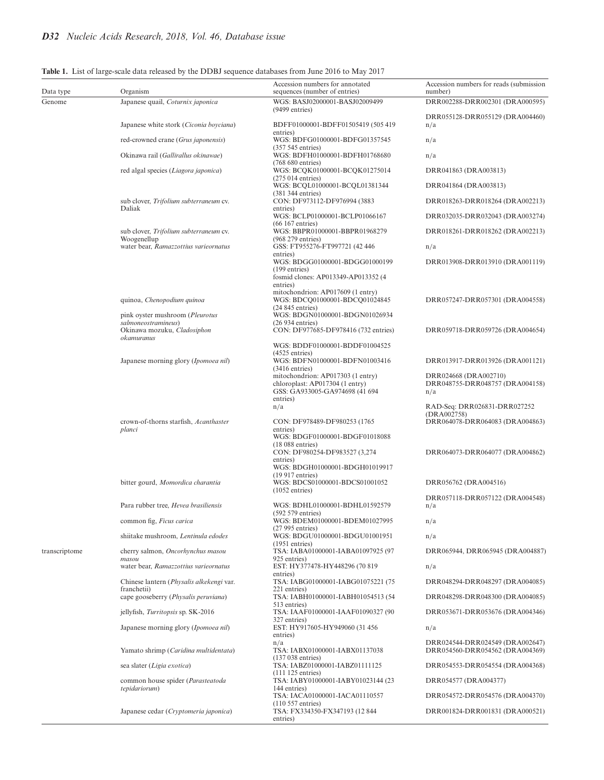<span id="page-2-0"></span>

| <b>Table 1.</b> List of large-scale data released by the DDBJ sequence databases from June 2016 to May 2017 |  |  |  |
|-------------------------------------------------------------------------------------------------------------|--|--|--|
|                                                                                                             |  |  |  |

| Data type     | Organism                                                         | Accession numbers for annotated<br>sequences (number of entries)                                       | Accession numbers for reads (submission<br>number)                 |
|---------------|------------------------------------------------------------------|--------------------------------------------------------------------------------------------------------|--------------------------------------------------------------------|
| Genome        | Japanese quail, Coturnix japonica                                | WGS: BASJ02000001-BASJ02009499                                                                         | DRR002288-DRR002301 (DRA000595)                                    |
|               | Japanese white stork (Ciconia boyciana)                          | $(9499$ entries)<br>BDFF01000001-BDFF01505419 (505 419                                                 | DRR055128-DRR055129 (DRA004460)<br>n/a                             |
|               | red-crowned crane (Grus japonensis)                              | entries)<br>WGS: BDFG01000001-BDFG01357545                                                             | n/a                                                                |
|               | Okinawa rail (Gallirallus okinawae)                              | (357 545 entries)<br>WGS: BDFH01000001-BDFH01768680                                                    | n/a                                                                |
|               | red algal species (Liagora japonica)                             | (768 680 entries)<br>WGS: BCQK01000001-BCQK01275014                                                    | DRR041863 (DRA003813)                                              |
|               |                                                                  | $(275 014$ entries)<br>WGS: BCQL01000001-BCQL01381344                                                  | DRR041864 (DRA003813)                                              |
|               | sub clover, Trifolium subterraneum cv.<br>Daliak                 | $(381 344$ entries)<br>CON: DF973112-DF976994 (3883<br>entries)                                        | DRR018263-DRR018264 (DRA002213)                                    |
|               |                                                                  | WGS: BCLP01000001-BCLP01066167<br>(66 167 entries)                                                     | DRR032035-DRR032043 (DRA003274)                                    |
|               | sub clover, Trifolium subterraneum cv.<br>Woogenellup            | WGS: BBPR01000001-BBPR01968279<br>(968 279 entries)                                                    | DRR018261-DRR018262 (DRA002213)                                    |
|               | water bear, Ramazzottius varieornatus                            | GSS: FT955276-FT997721 (42 446)                                                                        | n/a                                                                |
|               |                                                                  | entries)<br>WGS: BDGG01000001-BDGG01000199<br>$(199$ entries)<br>fosmid clones: AP013349-AP013352 (4   | DRR013908-DRR013910 (DRA001119)                                    |
|               |                                                                  | entries)<br>mitochondrion: AP017609 (1 entry)                                                          |                                                                    |
|               | quinoa, Chenopodium quinoa                                       | WGS: BDCQ01000001-BDCQ01024845<br>$(24845$ entries)                                                    | DRR057247-DRR057301 (DRA004558)                                    |
|               | pink oyster mushroom (Pleurotus                                  | WGS: BDGN01000001-BDGN01026934<br>$(26934$ entries)                                                    |                                                                    |
|               | salmoneostramineus)<br>Okinawa mozuku, Cladosiphon<br>okamuranus | CON: DF977685-DF978416 (732 entries)                                                                   | DRR059718-DRR059726 (DRA004654)                                    |
|               |                                                                  | WGS: BDDF01000001-BDDF01004525                                                                         |                                                                    |
|               | Japanese morning glory (Ipomoea nil)                             | (4525 entries)<br>WGS: BDFN01000001-BDFN01003416<br>$(3416$ entries)                                   | DRR013917-DRR013926 (DRA001121)                                    |
|               |                                                                  | mitochondrion: AP017303 (1 entry)<br>chloroplast: AP017304 (1 entry)<br>GSS: GA933005-GA974698 (41 694 | DRR024668 (DRA002710)<br>DRR048755-DRR048757 (DRA004158)<br>n/a    |
|               |                                                                  | entries)<br>n/a                                                                                        | RAD-Seq: DRR026831-DRR027252                                       |
|               | crown-of-thorns starfish, Acanthaster                            | CON: DF978489-DF980253 (1765                                                                           | (DRA002758)<br>DRR064078-DRR064083 (DRA004863)                     |
|               | planci                                                           | entries)<br>WGS: BDGF01000001-BDGF01018088<br>(18 088 entries)                                         |                                                                    |
|               |                                                                  | CON: DF980254-DF983527 (3,274<br>entries)<br>WGS: BDGH01000001-BDGH01019917<br>$(19917$ entries)       | DRR064073-DRR064077 (DRA004862)                                    |
|               | bitter gourd, Momordica charantia                                | WGS: BDCS01000001-BDCS01001052<br>$(1052$ entries)                                                     | DRR056762 (DRA004516)                                              |
|               | Para rubber tree, Hevea brasiliensis                             | WGS: BDHL01000001-BDHL01592579                                                                         | DRR057118-DRR057122 (DRA004548)<br>n/a                             |
|               | common fig, Ficus carica                                         | $(592 579$ entries)<br>WGS: BDEM01000001-BDEM01027995                                                  | n/a                                                                |
|               | shiitake mushroom, Lentinula edodes                              | (27 995 entries)<br>WGS: BDGU01000001-BDGU01001951                                                     | n/a                                                                |
| transcriptome | cherry salmon, Oncorhynchus masou<br>masou                       | $(1951$ entries)<br>TSA: IABA01000001-IABA01097925 (97<br>925 entries)                                 | DRR065944, DRR065945 (DRA004887)                                   |
|               | water bear, Ramazzottius varieornatus                            | EST: HY377478-HY448296 (70 819)<br>entries)                                                            | n/a                                                                |
|               | Chinese lantern (Physalis alkekengi var.<br>franchetii)          | TSA: IABG01000001-IABG01075221 (75<br>221 entries)                                                     | DRR048294-DRR048297 (DRA004085)                                    |
|               | cape gooseberry (Physalis peruviana)                             | TSA: IABH01000001-IABH01054513 (54<br>513 entries)                                                     | DRR048298-DRR048300 (DRA004085)                                    |
|               | jellyfish, Turritopsis sp. SK-2016                               | TSA: IAAF01000001-IAAF01090327 (90<br>327 entries)                                                     | DRR053671-DRR053676 (DRA004346)                                    |
|               | Japanese morning glory (Ipomoea nil)                             | EST: HY917605-HY949060 (31 456<br>entries)                                                             | n/a                                                                |
|               | Yamato shrimp (Caridina multidentata)                            | n/a<br>TSA: IABX01000001-IABX01137038                                                                  | DRR024544-DRR024549 (DRA002647)<br>DRR054560-DRR054562 (DRA004369) |
|               | sea slater (Ligia exotica)                                       | $(137038$ entries)<br>TSA: IABZ01000001-IABZ01111125                                                   | DRR054553-DRR054554 (DRA004368)                                    |
|               | common house spider (Parasteatoda                                | $(111 125$ entries)<br>TSA: IABY01000001-IABY01023144 (23                                              | DRR054577 (DRA004377)                                              |
|               | <i>tepidariorum</i> )                                            | 144 entries)<br>TSA: IACA01000001-IACA01110557                                                         | DRR054572-DRR054576 (DRA004370)                                    |
|               | Japanese cedar (Cryptomeria japonica)                            | $(110 557$ entries)<br>TSA: FX334350-FX347193 (12 844<br>entries)                                      | DRR001824-DRR001831 (DRA000521)                                    |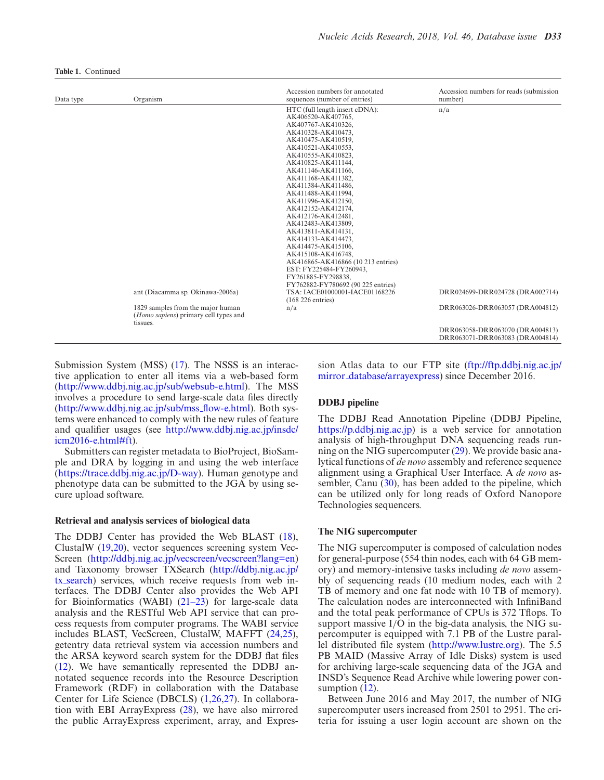|           |                                                | Accession numbers for annotated    | Accession numbers for reads (submission |
|-----------|------------------------------------------------|------------------------------------|-----------------------------------------|
| Data type | Organism                                       | sequences (number of entries)      | number)                                 |
|           |                                                | HTC (full length insert cDNA):     | n/a                                     |
|           |                                                | AK406520-AK407765,                 |                                         |
|           |                                                | AK407767-AK410326,                 |                                         |
|           |                                                | AK410328-AK410473,                 |                                         |
|           |                                                | AK410475-AK410519,                 |                                         |
|           |                                                | AK410521-AK410553,                 |                                         |
|           |                                                | AK410555-AK410823,                 |                                         |
|           |                                                | AK410825-AK411144,                 |                                         |
|           |                                                | AK411146-AK411166,                 |                                         |
|           |                                                | AK411168-AK411382,                 |                                         |
|           |                                                | AK411384-AK411486.                 |                                         |
|           |                                                | AK411488-AK411994,                 |                                         |
|           |                                                | AK411996-AK412150,                 |                                         |
|           |                                                | AK412152-AK412174,                 |                                         |
|           |                                                | AK412176-AK412481,                 |                                         |
|           |                                                | AK412483-AK413809,                 |                                         |
|           |                                                | AK413811-AK414131,                 |                                         |
|           |                                                | AK414133-AK414473.                 |                                         |
|           |                                                | AK414475-AK415106,                 |                                         |
|           |                                                | AK415108-AK416748,                 |                                         |
|           |                                                | AK416865-AK416866 (10 213 entries) |                                         |
|           |                                                | EST: FY225484-FY260943,            |                                         |
|           |                                                | FY261885-FY298838,                 |                                         |
|           |                                                | FY762882-FY780692 (90 225 entries) |                                         |
|           | ant (Diacamma sp. Okinawa-2006a)               | TSA: IACE01000001-IACE01168226     | DRR024699-DRR024728 (DRA002714)         |
|           |                                                | $(168 226$ entries)                |                                         |
|           | 1829 samples from the major human              | n/a                                | DRR063026-DRR063057 (DRA004812)         |
|           | ( <i>Homo sapiens</i> ) primary cell types and |                                    |                                         |
|           | tissues.                                       |                                    |                                         |
|           |                                                |                                    | DRR063058-DRR063070 (DRA004813)         |
|           |                                                |                                    | DRR063071-DRR063083 (DRA004814)         |

#### **Table 1.** Continued

Submission System (MSS) [\(17\)](#page-5-0). The NSSS is an interactive application to enter all items via a web-based form [\(http://www.ddbj.nig.ac.jp/sub/websub-e.html\)](http://www.ddbj.nig.ac.jp/sub/websub-e.html). The MSS involves a procedure to send large-scale data files directly [\(http://www.ddbj.nig.ac.jp/sub/mss](http://www.ddbj.nig.ac.jp/sub/mss_flow-e.html) flow-e.html). Both systems were enhanced to comply with the new rules of feature and qualifier usages (see [http://www.ddbj.nig.ac.jp/insdc/](http://www.ddbj.nig.ac.jp/insdc/icm2016-e.html#ft) icm2016-e.html#ft).

Submitters can register metadata to BioProject, BioSample and DRA by logging in and using the web interface [\(https://trace.ddbj.nig.ac.jp/D-way\)](https://trace.ddbj.nig.ac.jp/D-way). Human genotype and phenotype data can be submitted to the JGA by using secure upload software.

## **Retrieval and analysis services of biological data**

The DDBJ Center has provided the Web BLAST [\(18\)](#page-5-0), ClustalW [\(19,20\)](#page-5-0), vector sequences screening system Vec-Screen [\(http://ddbj.nig.ac.jp/vecscreen/vecscreen?lang=en\)](http://ddbj.nig.ac.jp/vecscreen/vecscreen?lang=en) [and Taxonomy browser TXSearch \(http://ddbj.nig.ac.jp/](http://ddbj.nig.ac.jp/tx_search) tx search) services, which receive requests from web interfaces. The DDBJ Center also provides the Web API for Bioinformatics (WABI) [\(21–23\)](#page-5-0) for large-scale data analysis and the RESTful Web API service that can process requests from computer programs. The WABI service includes BLAST, VecScreen, ClustalW, MAFFT [\(24,25\)](#page-5-0), getentry data retrieval system via accession numbers and the ARSA keyword search system for the DDBJ flat files [\(12\)](#page-5-0). We have semantically represented the DDBJ annotated sequence records into the Resource Description Framework (RDF) in collaboration with the Database Center for Life Science (DBCLS) [\(1,](#page-4-0)[26,27\)](#page-5-0). In collaboration with EBI ArrayExpress [\(28\)](#page-5-0), we have also mirrored the public ArrayExpress experiment, array, and Expres[sion Atlas data to our FTP site \(ftp://ftp.ddbj.nig.ac.jp/](ftp://ftp.ddbj.nig.ac.jp/mirror_database/arrayexpress) mirror database/arrayexpress) since December 2016.

# **DDBJ pipeline**

The DDBJ Read Annotation Pipeline (DDBJ Pipeline, [https://p.ddbj.nig.ac.jp\)](https://p.ddbj.nig.ac.jp) is a web service for annotation analysis of high-throughput DNA sequencing reads running on the NIG supercomputer [\(29\)](#page-5-0). We provide basic analytical functions of *de novo* assembly and reference sequence alignment using a Graphical User Interface. A *de novo* as-sembler, Canu [\(30\)](#page-5-0), has been added to the pipeline, which can be utilized only for long reads of Oxford Nanopore Technologies sequencers.

## **The NIG supercomputer**

The NIG supercomputer is composed of calculation nodes for general-purpose (554 thin nodes, each with 64 GB memory) and memory-intensive tasks including *de novo* assembly of sequencing reads (10 medium nodes, each with 2 TB of memory and one fat node with 10 TB of memory). The calculation nodes are interconnected with InfiniBand and the total peak performance of CPUs is 372 Tflops. To support massive I/O in the big-data analysis, the NIG supercomputer is equipped with 7.1 PB of the Lustre parallel distributed file system [\(http://www.lustre.org\)](http://www.lustre.org). The 5.5 PB MAID (Massive Array of Idle Disks) system is used for archiving large-scale sequencing data of the JGA and INSD's Sequence Read Archive while lowering power consumption  $(12)$ .

Between June 2016 and May 2017, the number of NIG supercomputer users increased from 2501 to 2951. The criteria for issuing a user login account are shown on the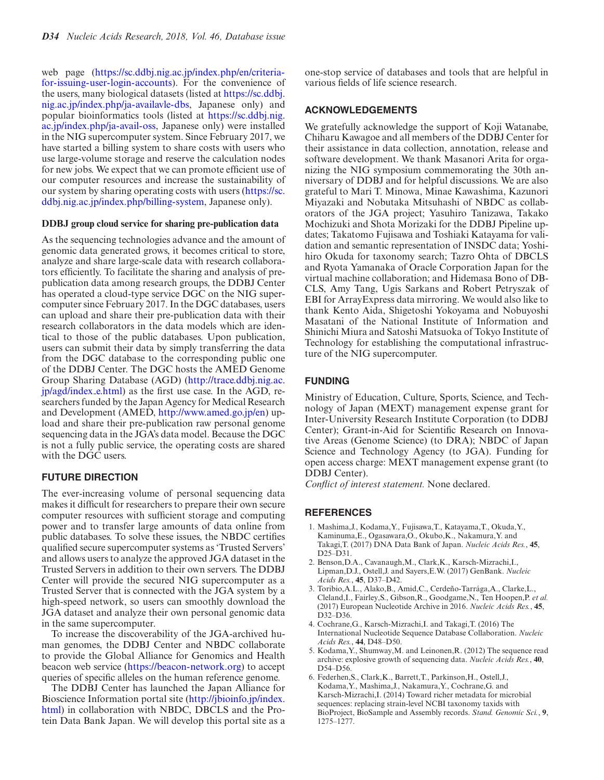<span id="page-4-0"></span>web page (https://sc.ddbj.nig.ac.jp/index.php/en/criteria[for-issuing-user-login-accounts\). For the convenience of](https://sc.ddbj.nig.ac.jp/index.php/en/criteria-for-issuing-user-login-accounts) the users, many biological datasets (listed at https://sc.ddbj. [nig.ac.jp/index.php/ja-availavle-dbs, Japanese only\) and](https://sc.ddbj.nig.ac.jp/index.php/ja-availavle-dbs) popular bioinformatics tools (listed at https://sc.ddbj.nig. [ac.jp/index.php/ja-avail-oss, Japanese only\) were installed](https://sc.ddbj.nig.ac.jp/index.php/ja-avail-oss) in the NIG supercomputer system. Since February 2017, we have started a billing system to share costs with users who use large-volume storage and reserve the calculation nodes for new jobs. We expect that we can promote efficient use of our computer resources and increase the sustainability of [our system by sharing operating costs with users \(https://sc.](https://sc.ddbj.nig.ac.jp/index.php/billing-system) ddbj.nig.ac.jp/index.php/billing-system, Japanese only).

## **DDBJ group cloud service for sharing pre-publication data**

As the sequencing technologies advance and the amount of genomic data generated grows, it becomes critical to store, analyze and share large-scale data with research collaborators efficiently. To facilitate the sharing and analysis of prepublication data among research groups, the DDBJ Center has operated a cloud-type service DGC on the NIG supercomputer since February 2017. In the DGC databases, users can upload and share their pre-publication data with their research collaborators in the data models which are identical to those of the public databases. Upon publication, users can submit their data by simply transferring the data from the DGC database to the corresponding public one of the DDBJ Center. The DGC hosts the AMED Genome [Group Sharing Database \(AGD\) \(http://trace.ddbj.nig.ac.](http://trace.ddbj.nig.ac.jp/agd/index_e.html) jp/agd/index e.html) as the first use case. In the AGD, researchers funded by the Japan Agency for Medical Research and Development (AMED, [http://www.amed.go.jp/en\)](http://www.amed.go.jp/en) upload and share their pre-publication raw personal genome sequencing data in the JGA's data model. Because the DGC is not a fully public service, the operating costs are shared with the DGC users.

## **FUTURE DIRECTION**

The ever-increasing volume of personal sequencing data makes it difficult for researchers to prepare their own secure computer resources with sufficient storage and computing power and to transfer large amounts of data online from public databases. To solve these issues, the NBDC certifies qualified secure supercomputer systems as 'Trusted Servers' and allows users to analyze the approved JGA dataset in the Trusted Servers in addition to their own servers. The DDBJ Center will provide the secured NIG supercomputer as a Trusted Server that is connected with the JGA system by a high-speed network, so users can smoothly download the JGA dataset and analyze their own personal genomic data in the same supercomputer.

To increase the discoverability of the JGA-archived human genomes, the DDBJ Center and NBDC collaborate to provide the Global Alliance for Genomics and Health beacon web service [\(https://beacon-network.org\)](https://beacon-network.org) to accept queries of specific alleles on the human reference genome.

The DDBJ Center has launched the Japan Alliance for [Bioscience Information portal site \(http://jbioinfo.jp/index.](http://jbioinfo.jp/index.html) html) in collaboration with NBDC, DBCLS and the Protein Data Bank Japan. We will develop this portal site as a one-stop service of databases and tools that are helpful in various fields of life science research.

## **ACKNOWLEDGEMENTS**

We gratefully acknowledge the support of Koji Watanabe, Chiharu Kawagoe and all members of the DDBJ Center for their assistance in data collection, annotation, release and software development. We thank Masanori Arita for organizing the NIG symposium commemorating the 30th anniversary of DDBJ and for helpful discussions. We are also grateful to Mari T. Minowa, Minae Kawashima, Kazunori Miyazaki and Nobutaka Mitsuhashi of NBDC as collaborators of the JGA project; Yasuhiro Tanizawa, Takako Mochizuki and Shota Morizaki for the DDBJ Pipeline updates; Takatomo Fujisawa and Toshiaki Katayama for validation and semantic representation of INSDC data; Yoshihiro Okuda for taxonomy search; Tazro Ohta of DBCLS and Ryota Yamanaka of Oracle Corporation Japan for the virtual machine collaboration; and Hidemasa Bono of DB-CLS, Amy Tang, Ugis Sarkans and Robert Petryszak of EBI for ArrayExpress data mirroring. We would also like to thank Kento Aida, Shigetoshi Yokoyama and Nobuyoshi Masatani of the National Institute of Information and Shinichi Miura and Satoshi Matsuoka of Tokyo Institute of Technology for establishing the computational infrastructure of the NIG supercomputer.

## **FUNDING**

Ministry of Education, Culture, Sports, Science, and Technology of Japan (MEXT) management expense grant for Inter-University Research Institute Corporation (to DDBJ Center); Grant-in-Aid for Scientific Research on Innovative Areas (Genome Science) (to DRA); NBDC of Japan Science and Technology Agency (to JGA). Funding for open access charge: MEXT management expense grant (to DDBJ Center).

*Conflict of interest statement.* None declared.

## **REFERENCES**

- 1. Mashima,J., Kodama,Y., Fujisawa,T., Katayama,T., Okuda,Y., Kaminuma,E., Ogasawara,O., Okubo,K., Nakamura,Y. and Takagi,T. (2017) DNA Data Bank of Japan. *Nucleic Acids Res.*, **45**, D25–D31.
- 2. Benson,D.A., Cavanaugh,M., Clark,K., Karsch-Mizrachi,I., Lipman,D.J., Ostell,J. and Sayers,E.W. (2017) GenBank. *Nucleic Acids Res.*, **45**, D37–D42.
- 3. Toribio, A.L., Alako, B., Amid, C., Cerdeño-Tarrága, A., Clarke, L., Cleland,I., Fairley,S., Gibson,R., Goodgame,N., Ten Hoopen,P. *et al.* (2017) European Nucleotide Archive in 2016. *Nucleic Acids Res.*, **45**, D32–D36.
- 4. Cochrane,G., Karsch-Mizrachi,I. and Takagi,T. (2016) The International Nucleotide Sequence Database Collaboration. *Nucleic Acids Res.*, **44**, D48–D50.
- 5. Kodama,Y., Shumway,M. and Leinonen,R. (2012) The sequence read archive: explosive growth of sequencing data. *Nucleic Acids Res.*, **40**, D54–D56.
- 6. Federhen,S., Clark,K., Barrett,T., Parkinson,H., Ostell,J., Kodama,Y., Mashima,J., Nakamura,Y., Cochrane,G. and Karsch-Mizrachi,I. (2014) Toward richer metadata for microbial sequences: replacing strain-level NCBI taxonomy taxids with BioProject, BioSample and Assembly records. *Stand. Genomic Sci.*, **9**, 1275–1277.